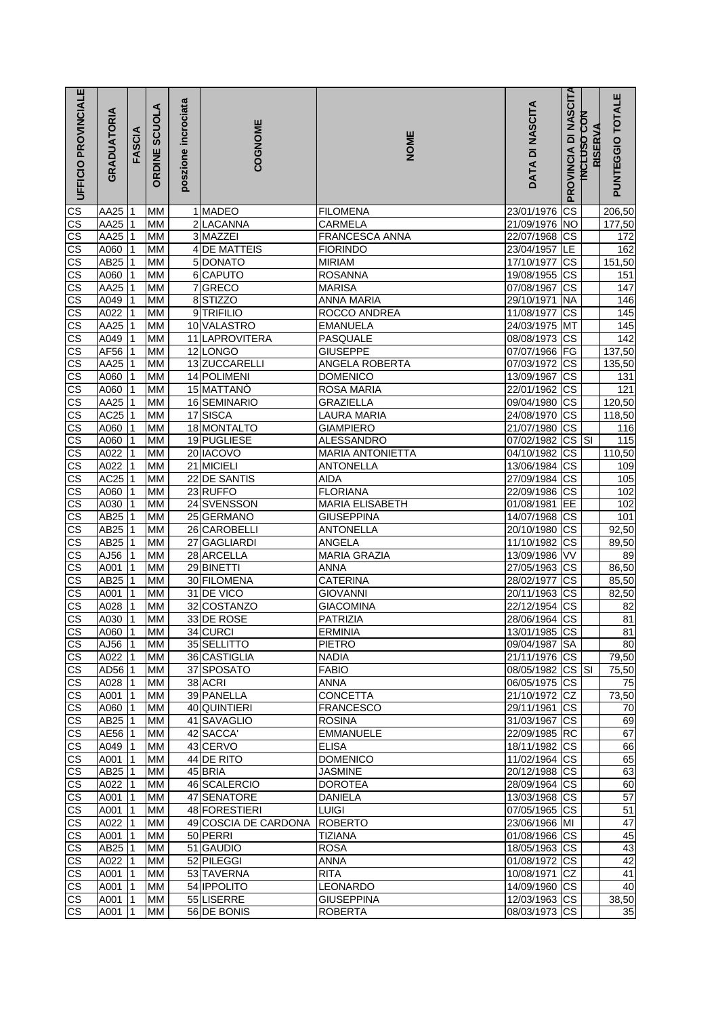| $\overline{\text{CS}}$<br>CS<br>206,50<br>AA25<br>1 MADEO<br>23/01/1976<br>МM<br><b>FILOMENA</b><br>$\overline{\text{cs}}$<br><b>AA25</b><br>MM<br>2 LACANNA<br><b>NO</b><br>CARMELA<br>21/09/1976<br>177,50<br>$\overline{\text{cs}}$<br><b>AA25</b><br>3 MAZZEI<br>FRANCESCA ANNA<br>CS<br>MM<br>22/07/1968<br>172<br>$\overline{\text{CS}}$<br>A060<br><b>MM</b><br>LE<br>162<br>4 DE MATTEIS<br><b>FIORINDO</b><br>23/04/1957<br>$\overline{\text{CS}}$<br>AB25<br>MM<br>5 DONATO<br>CS<br><b>MIRIAM</b><br>17/10/1977<br>151,50<br>$\frac{cs}{cs}$<br>$\overline{\text{cs}}$<br>A060<br>MM<br>6 CAPUTO<br><b>ROSANNA</b><br>19/08/1955<br>151<br>$\overline{\text{cs}}$<br>7GRECO<br>AA25<br>MM<br><b>MARISA</b><br>07/08/1967<br>147<br>$\overline{\text{CS}}$<br>A049<br>8STIZZO<br><b>NA</b><br><b>MM</b><br><b>ANNA MARIA</b><br>29/10/1971<br>146<br>$\overline{\text{CS}}$<br>9 TRIFILIO<br>$\overline{\text{cs}}$<br>A022<br>MM<br>ROCCO ANDREA<br>11/08/1977<br>145<br>CS<br>CS<br>AA25<br>10 VALASTRO<br><b>MT</b><br>MM<br><b>EMANUELA</b><br>24/03/1975<br>145<br>A049<br><b>MM</b><br>11 LAPROVITERA<br>PASQUALE<br>08/08/1973<br>CS<br>142<br>$rac{\text{cs}}{\text{cs}}$<br>AF56<br>12 LONGO<br><b>GIUSEPPE</b><br>FG<br>137,50<br><b>MM</b><br>07/07/1966<br>AA25<br>13 ZUCCARELLI<br>ANGELA ROBERTA<br>CS<br>135,50<br>MM<br>07/03/1972<br>A060<br>14 POLIMENI<br>CS<br>MM<br><b>DOMENICO</b><br>131<br>13/09/1967<br>$\overline{\text{cs}}$<br>121<br>A060<br><b>MM</b><br>15 MATTANÒ<br>ROSA MARIA<br>22/01/1962<br>$\overline{\text{cs}}$<br>AA25<br>16 SEMINARIO<br><b>GRAZIELLA</b><br>09/04/1980<br><b>CS</b><br>120,50<br>MM<br>$\overline{\text{CS}}$<br>AC <sub>25</sub><br>17<br>SISCA<br><b>LAURA MARIA</b><br>$\overline{\text{CS}}$<br><b>MM</b><br>24/08/1970<br>118,50<br>$\frac{cs}{cs}$<br>18 MONTALTO<br>A060<br>MM<br><b>GIAMPIERO</b><br><b>CS</b><br>21/07/1980<br>116<br>19 PUGLIESE<br>$\overline{\text{CS}}$<br>A060<br><b>MM</b><br><b>ALESSANDRO</b><br>07/02/1982<br>115<br><b>SI</b><br>$\overline{\text{cs}}$<br>20 IACOVO<br>A022<br>04/10/1982<br>$\overline{\text{CS}}$<br><b>MM</b><br><b>MARIA ANTONIETTA</b><br>110,50<br>S)<br>21 MICIELI<br>$\overline{\text{cs}}$<br>A022<br>MM<br><b>ANTONELLA</b><br>13/06/1984<br>109<br>$\overline{\text{cs}}$<br>AC25<br>22 DE SANTIS<br>27/09/1984<br>CS<br>105<br>MM<br><b>AIDA</b><br>$\overline{\text{cs}}$<br>$\overline{\text{cs}}$<br>A060<br>MM<br>23 RUFFO<br><b>FLORIANA</b><br>102<br>22/09/1986<br>$\overline{\text{cs}}$<br>EE<br>A030<br>24 SVENSSON<br><b>MARIA ELISABETH</b><br>102<br><b>MM</b><br>01/08/1981<br>$\overline{\text{cs}}$<br>$\overline{\text{cs}}$<br>AB25<br><b>MM</b><br>25 GERMANO<br><b>GIUSEPPINA</b><br>14/07/1968<br>101<br>$\overline{\text{cs}}$<br>AB25<br>26 CAROBELLI<br>MM<br><b>ANTONELLA</b><br>20/10/1980<br>CS<br>92,50<br>$\overline{\text{cs}}$<br>$\overline{\text{cs}}$<br>AB25<br>MM<br>GAGLIARDI<br>ANGELA<br>27<br>11/10/1982<br>89,50<br>$\overline{\text{cs}}$<br>VV<br>AJ56<br>MM<br>28 ARCELLA<br><b>MARIA GRAZIA</b><br>13/09/1986<br>89<br>$\overline{\text{cs}}$<br>A001<br>29 BINETTI<br>$\overline{\text{cs}}$<br><b>MM</b><br><b>ANNA</b><br>27/05/1963<br>86,50<br>$\overline{\text{cs}}$<br>AB25<br>30 FILOMENA<br>CS<br>MM<br><b>CATERINA</b><br>28/02/1977<br>85,50<br>$\overline{\text{CS}}$<br>A001<br>31 DE VICO<br>CS<br>MM<br><b>GIOVANNI</b><br>20/11/1963<br>82,50<br>$\overline{\text{cs}}$<br>$\overline{\text{cs}}$<br>32 COSTANZO<br><b>GIACOMINA</b><br>22/12/1954<br>A028<br>MM<br>82<br>$\overline{\text{cs}}$<br>$\overline{\text{cs}}$<br>A030<br>33 DE ROSE<br>PATRIZIA<br>28/06/1964<br>81<br>MM<br>$\overline{\text{CS}}$<br>A060 1<br>MM<br>34 CURCI<br><b>ERMINIA</b><br>13/01/1985 CS<br>81<br>$\overline{\text{cs}}$<br>AJ56<br><b>MM</b><br>35 SELLITTO<br><b>PIETRO</b><br>09/04/1987 SA<br>80<br>11<br>S)<br>36 CASTIGLIA<br>21/11/1976 CS<br>79,50<br>A022<br>MM<br><b>NADIA</b><br>$\overline{\text{cs}}$<br>AD56<br>37 SPOSATO<br><b>FABIO</b><br>08/05/1982 CS SI<br>l1<br><b>MM</b><br>75,50<br>cs<br>A028<br>MM<br>38 ACRI<br><b>ANNA</b><br>06/05/1975 CS<br>75<br>8<br>So<br>39 PANELLA<br>CONCETTA<br>A001<br>1<br><b>MM</b><br>21/10/1972 CZ<br>73,50<br>40 QUINTIERI<br>MM<br>FRANCESCO<br>29/11/1961<br><b>CS</b><br>A060<br>70<br>$\overline{\text{cs}}$<br>AB <sub>25</sub><br>41 SAVAGLIO<br><b>ROSINA</b><br>31/03/1967 CS<br><b>MM</b><br>69<br>11<br>$\overline{\text{cs}}$<br>AE56<br>42 SACCA<br><b>EMMANUELE</b><br>22/09/1985 RC<br>67<br><b>MM</b><br>$\overline{\text{cs}}$<br>43 CERVO<br>66<br>A049<br>MM<br><b>ELISA</b><br>18/11/1982 CS<br>$\vert$ 1<br>$\overline{\text{CS}}$<br>65<br>MM<br>44 DE RITO<br><b>DOMENICO</b><br>11/02/1964 CS<br>A001<br>$\overline{\text{cs}}$<br>AB <sub>25</sub><br><b>JASMINE</b><br>20/12/1988 CS<br>63<br><b>MM</b><br>45 BRIA<br>l1<br>$\overline{\text{cs}}$<br>A022<br>46 SCALERCIO<br><b>DOROTEA</b><br>28/09/1964 CS<br>1<br>MM<br>60<br>$\mathsf{CS}\xspace$<br>57<br>A001<br>47 SENATORE<br><b>DANIELA</b><br>13/03/1968 CS<br>1<br>ΜМ<br>$\overline{\text{cs}}$<br>48 FORESTIERI<br>07/05/1965 CS<br>51<br>A001<br>MM<br><b>LUIGI</b><br>1<br>$\overline{\text{cs}}$<br><b>ROBERTO</b><br>47<br>A022<br>49 COSCIA DE CARDONA<br>23/06/1966 MI<br>ΜМ<br>$\overline{\text{cs}}$<br>50 PERRI<br><b>TIZIANA</b><br>01/08/1966 CS<br>45<br>A001<br>MM<br>$\overline{\text{cs}}$<br>AB <sub>25</sub><br>51 GAUDIO<br><b>ROSA</b><br>18/05/1963 CS<br>43<br>МM<br>$\overline{\text{cs}}$<br>42<br>52 PILEGGI<br><b>ANNA</b><br><b>CS</b><br>A022<br>MM<br>01/08/1972<br>$\overline{\text{cs}}$<br><b>CZ</b><br>A001<br>53 TAVERNA<br>10/08/1971<br>41<br><b>MM</b><br><b>RITA</b><br>$\overline{\text{cs}}$<br>A001<br>54 <b>IPPOLITO</b><br>LEONARDO<br>14/09/1960 CS<br><b>MM</b><br>40<br>1<br>cs<br>55 LISERRE<br><b>GIUSEPPINA</b><br>A001<br>MM<br>12/03/1963 CS<br>38,50<br>$\vert$ 1<br>A001<br>56 DE BONIS<br><b>ROBERTA</b><br>08/03/1973<br><b>CS</b><br>35<br>МM | UFFICIO PROVINCIALE    | GRADUATORIA | FASCIA | <b>ORDINE SCUOLA</b> | poszione incrociata | COGNOME | NOME | DATA DI NASCITA | PROVINCIA DI NASCITA | INCLUSO CON<br><b>RISERVA</b> | PUNTEGGIO TOTALE |
|-------------------------------------------------------------------------------------------------------------------------------------------------------------------------------------------------------------------------------------------------------------------------------------------------------------------------------------------------------------------------------------------------------------------------------------------------------------------------------------------------------------------------------------------------------------------------------------------------------------------------------------------------------------------------------------------------------------------------------------------------------------------------------------------------------------------------------------------------------------------------------------------------------------------------------------------------------------------------------------------------------------------------------------------------------------------------------------------------------------------------------------------------------------------------------------------------------------------------------------------------------------------------------------------------------------------------------------------------------------------------------------------------------------------------------------------------------------------------------------------------------------------------------------------------------------------------------------------------------------------------------------------------------------------------------------------------------------------------------------------------------------------------------------------------------------------------------------------------------------------------------------------------------------------------------------------------------------------------------------------------------------------------------------------------------------------------------------------------------------------------------------------------------------------------------------------------------------------------------------------------------------------------------------------------------------------------------------------------------------------------------------------------------------------------------------------------------------------------------------------------------------------------------------------------------------------------------------------------------------------------------------------------------------------------------------------------------------------------------------------------------------------------------------------------------------------------------------------------------------------------------------------------------------------------------------------------------------------------------------------------------------------------------------------------------------------------------------------------------------------------------------------------------------------------------------------------------------------------------------------------------------------------------------------------------------------------------------------------------------------------------------------------------------------------------------------------------------------------------------------------------------------------------------------------------------------------------------------------------------------------------------------------------------------------------------------------------------------------------------------------------------------------------------------------------------------------------------------------------------------------------------------------------------------------------------------------------------------------------------------------------------------------------------------------------------------------------------------------------------------------------------------------------------------------------------------------------------------------------------------------------------------------------------------------------------------------------------------------------------------------------------------------------------------------------------------------------------------------------------------------------------------------------------------------------------------------------------------------------------------------------------------------------------------------------------------------------------------------------------------------------------------------------------------------------------------------------------------------------------------------------------------------------------------------------------------------------------------------------------------------------------------------------------------------------------------------------------------------------------------------------------------------------------------------------------------------------------------------------------------------------------------------------------------------------------------------------------------------------------------------------------------------------------------------------------------------------------------------------------------------------------------------------------------------------------------------------------------------------------------------------------------------------------------------------------------------------------------------------------------------------------------------------------------------------------------------------------------------------------------------------------------------------------------------------------------------------------------------------------------------------------------------------------------------|------------------------|-------------|--------|----------------------|---------------------|---------|------|-----------------|----------------------|-------------------------------|------------------|
|                                                                                                                                                                                                                                                                                                                                                                                                                                                                                                                                                                                                                                                                                                                                                                                                                                                                                                                                                                                                                                                                                                                                                                                                                                                                                                                                                                                                                                                                                                                                                                                                                                                                                                                                                                                                                                                                                                                                                                                                                                                                                                                                                                                                                                                                                                                                                                                                                                                                                                                                                                                                                                                                                                                                                                                                                                                                                                                                                                                                                                                                                                                                                                                                                                                                                                                                                                                                                                                                                                                                                                                                                                                                                                                                                                                                                                                                                                                                                                                                                                                                                                                                                                                                                                                                                                                                                                                                                                                                                                                                                                                                                                                                                                                                                                                                                                                                                                                                                                                                                                                                                                                                                                                                                                                                                                                                                                                                                                                                                                                                                                                                                                                                                                                                                                                                                                                                                                                                                                                                                                                 |                        |             |        |                      |                     |         |      |                 |                      |                               |                  |
|                                                                                                                                                                                                                                                                                                                                                                                                                                                                                                                                                                                                                                                                                                                                                                                                                                                                                                                                                                                                                                                                                                                                                                                                                                                                                                                                                                                                                                                                                                                                                                                                                                                                                                                                                                                                                                                                                                                                                                                                                                                                                                                                                                                                                                                                                                                                                                                                                                                                                                                                                                                                                                                                                                                                                                                                                                                                                                                                                                                                                                                                                                                                                                                                                                                                                                                                                                                                                                                                                                                                                                                                                                                                                                                                                                                                                                                                                                                                                                                                                                                                                                                                                                                                                                                                                                                                                                                                                                                                                                                                                                                                                                                                                                                                                                                                                                                                                                                                                                                                                                                                                                                                                                                                                                                                                                                                                                                                                                                                                                                                                                                                                                                                                                                                                                                                                                                                                                                                                                                                                                                 |                        |             |        |                      |                     |         |      |                 |                      |                               |                  |
|                                                                                                                                                                                                                                                                                                                                                                                                                                                                                                                                                                                                                                                                                                                                                                                                                                                                                                                                                                                                                                                                                                                                                                                                                                                                                                                                                                                                                                                                                                                                                                                                                                                                                                                                                                                                                                                                                                                                                                                                                                                                                                                                                                                                                                                                                                                                                                                                                                                                                                                                                                                                                                                                                                                                                                                                                                                                                                                                                                                                                                                                                                                                                                                                                                                                                                                                                                                                                                                                                                                                                                                                                                                                                                                                                                                                                                                                                                                                                                                                                                                                                                                                                                                                                                                                                                                                                                                                                                                                                                                                                                                                                                                                                                                                                                                                                                                                                                                                                                                                                                                                                                                                                                                                                                                                                                                                                                                                                                                                                                                                                                                                                                                                                                                                                                                                                                                                                                                                                                                                                                                 |                        |             |        |                      |                     |         |      |                 |                      |                               |                  |
|                                                                                                                                                                                                                                                                                                                                                                                                                                                                                                                                                                                                                                                                                                                                                                                                                                                                                                                                                                                                                                                                                                                                                                                                                                                                                                                                                                                                                                                                                                                                                                                                                                                                                                                                                                                                                                                                                                                                                                                                                                                                                                                                                                                                                                                                                                                                                                                                                                                                                                                                                                                                                                                                                                                                                                                                                                                                                                                                                                                                                                                                                                                                                                                                                                                                                                                                                                                                                                                                                                                                                                                                                                                                                                                                                                                                                                                                                                                                                                                                                                                                                                                                                                                                                                                                                                                                                                                                                                                                                                                                                                                                                                                                                                                                                                                                                                                                                                                                                                                                                                                                                                                                                                                                                                                                                                                                                                                                                                                                                                                                                                                                                                                                                                                                                                                                                                                                                                                                                                                                                                                 |                        |             |        |                      |                     |         |      |                 |                      |                               |                  |
|                                                                                                                                                                                                                                                                                                                                                                                                                                                                                                                                                                                                                                                                                                                                                                                                                                                                                                                                                                                                                                                                                                                                                                                                                                                                                                                                                                                                                                                                                                                                                                                                                                                                                                                                                                                                                                                                                                                                                                                                                                                                                                                                                                                                                                                                                                                                                                                                                                                                                                                                                                                                                                                                                                                                                                                                                                                                                                                                                                                                                                                                                                                                                                                                                                                                                                                                                                                                                                                                                                                                                                                                                                                                                                                                                                                                                                                                                                                                                                                                                                                                                                                                                                                                                                                                                                                                                                                                                                                                                                                                                                                                                                                                                                                                                                                                                                                                                                                                                                                                                                                                                                                                                                                                                                                                                                                                                                                                                                                                                                                                                                                                                                                                                                                                                                                                                                                                                                                                                                                                                                                 |                        |             |        |                      |                     |         |      |                 |                      |                               |                  |
|                                                                                                                                                                                                                                                                                                                                                                                                                                                                                                                                                                                                                                                                                                                                                                                                                                                                                                                                                                                                                                                                                                                                                                                                                                                                                                                                                                                                                                                                                                                                                                                                                                                                                                                                                                                                                                                                                                                                                                                                                                                                                                                                                                                                                                                                                                                                                                                                                                                                                                                                                                                                                                                                                                                                                                                                                                                                                                                                                                                                                                                                                                                                                                                                                                                                                                                                                                                                                                                                                                                                                                                                                                                                                                                                                                                                                                                                                                                                                                                                                                                                                                                                                                                                                                                                                                                                                                                                                                                                                                                                                                                                                                                                                                                                                                                                                                                                                                                                                                                                                                                                                                                                                                                                                                                                                                                                                                                                                                                                                                                                                                                                                                                                                                                                                                                                                                                                                                                                                                                                                                                 |                        |             |        |                      |                     |         |      |                 |                      |                               |                  |
|                                                                                                                                                                                                                                                                                                                                                                                                                                                                                                                                                                                                                                                                                                                                                                                                                                                                                                                                                                                                                                                                                                                                                                                                                                                                                                                                                                                                                                                                                                                                                                                                                                                                                                                                                                                                                                                                                                                                                                                                                                                                                                                                                                                                                                                                                                                                                                                                                                                                                                                                                                                                                                                                                                                                                                                                                                                                                                                                                                                                                                                                                                                                                                                                                                                                                                                                                                                                                                                                                                                                                                                                                                                                                                                                                                                                                                                                                                                                                                                                                                                                                                                                                                                                                                                                                                                                                                                                                                                                                                                                                                                                                                                                                                                                                                                                                                                                                                                                                                                                                                                                                                                                                                                                                                                                                                                                                                                                                                                                                                                                                                                                                                                                                                                                                                                                                                                                                                                                                                                                                                                 |                        |             |        |                      |                     |         |      |                 |                      |                               |                  |
|                                                                                                                                                                                                                                                                                                                                                                                                                                                                                                                                                                                                                                                                                                                                                                                                                                                                                                                                                                                                                                                                                                                                                                                                                                                                                                                                                                                                                                                                                                                                                                                                                                                                                                                                                                                                                                                                                                                                                                                                                                                                                                                                                                                                                                                                                                                                                                                                                                                                                                                                                                                                                                                                                                                                                                                                                                                                                                                                                                                                                                                                                                                                                                                                                                                                                                                                                                                                                                                                                                                                                                                                                                                                                                                                                                                                                                                                                                                                                                                                                                                                                                                                                                                                                                                                                                                                                                                                                                                                                                                                                                                                                                                                                                                                                                                                                                                                                                                                                                                                                                                                                                                                                                                                                                                                                                                                                                                                                                                                                                                                                                                                                                                                                                                                                                                                                                                                                                                                                                                                                                                 |                        |             |        |                      |                     |         |      |                 |                      |                               |                  |
|                                                                                                                                                                                                                                                                                                                                                                                                                                                                                                                                                                                                                                                                                                                                                                                                                                                                                                                                                                                                                                                                                                                                                                                                                                                                                                                                                                                                                                                                                                                                                                                                                                                                                                                                                                                                                                                                                                                                                                                                                                                                                                                                                                                                                                                                                                                                                                                                                                                                                                                                                                                                                                                                                                                                                                                                                                                                                                                                                                                                                                                                                                                                                                                                                                                                                                                                                                                                                                                                                                                                                                                                                                                                                                                                                                                                                                                                                                                                                                                                                                                                                                                                                                                                                                                                                                                                                                                                                                                                                                                                                                                                                                                                                                                                                                                                                                                                                                                                                                                                                                                                                                                                                                                                                                                                                                                                                                                                                                                                                                                                                                                                                                                                                                                                                                                                                                                                                                                                                                                                                                                 |                        |             |        |                      |                     |         |      |                 |                      |                               |                  |
|                                                                                                                                                                                                                                                                                                                                                                                                                                                                                                                                                                                                                                                                                                                                                                                                                                                                                                                                                                                                                                                                                                                                                                                                                                                                                                                                                                                                                                                                                                                                                                                                                                                                                                                                                                                                                                                                                                                                                                                                                                                                                                                                                                                                                                                                                                                                                                                                                                                                                                                                                                                                                                                                                                                                                                                                                                                                                                                                                                                                                                                                                                                                                                                                                                                                                                                                                                                                                                                                                                                                                                                                                                                                                                                                                                                                                                                                                                                                                                                                                                                                                                                                                                                                                                                                                                                                                                                                                                                                                                                                                                                                                                                                                                                                                                                                                                                                                                                                                                                                                                                                                                                                                                                                                                                                                                                                                                                                                                                                                                                                                                                                                                                                                                                                                                                                                                                                                                                                                                                                                                                 |                        |             |        |                      |                     |         |      |                 |                      |                               |                  |
|                                                                                                                                                                                                                                                                                                                                                                                                                                                                                                                                                                                                                                                                                                                                                                                                                                                                                                                                                                                                                                                                                                                                                                                                                                                                                                                                                                                                                                                                                                                                                                                                                                                                                                                                                                                                                                                                                                                                                                                                                                                                                                                                                                                                                                                                                                                                                                                                                                                                                                                                                                                                                                                                                                                                                                                                                                                                                                                                                                                                                                                                                                                                                                                                                                                                                                                                                                                                                                                                                                                                                                                                                                                                                                                                                                                                                                                                                                                                                                                                                                                                                                                                                                                                                                                                                                                                                                                                                                                                                                                                                                                                                                                                                                                                                                                                                                                                                                                                                                                                                                                                                                                                                                                                                                                                                                                                                                                                                                                                                                                                                                                                                                                                                                                                                                                                                                                                                                                                                                                                                                                 |                        |             |        |                      |                     |         |      |                 |                      |                               |                  |
|                                                                                                                                                                                                                                                                                                                                                                                                                                                                                                                                                                                                                                                                                                                                                                                                                                                                                                                                                                                                                                                                                                                                                                                                                                                                                                                                                                                                                                                                                                                                                                                                                                                                                                                                                                                                                                                                                                                                                                                                                                                                                                                                                                                                                                                                                                                                                                                                                                                                                                                                                                                                                                                                                                                                                                                                                                                                                                                                                                                                                                                                                                                                                                                                                                                                                                                                                                                                                                                                                                                                                                                                                                                                                                                                                                                                                                                                                                                                                                                                                                                                                                                                                                                                                                                                                                                                                                                                                                                                                                                                                                                                                                                                                                                                                                                                                                                                                                                                                                                                                                                                                                                                                                                                                                                                                                                                                                                                                                                                                                                                                                                                                                                                                                                                                                                                                                                                                                                                                                                                                                                 |                        |             |        |                      |                     |         |      |                 |                      |                               |                  |
|                                                                                                                                                                                                                                                                                                                                                                                                                                                                                                                                                                                                                                                                                                                                                                                                                                                                                                                                                                                                                                                                                                                                                                                                                                                                                                                                                                                                                                                                                                                                                                                                                                                                                                                                                                                                                                                                                                                                                                                                                                                                                                                                                                                                                                                                                                                                                                                                                                                                                                                                                                                                                                                                                                                                                                                                                                                                                                                                                                                                                                                                                                                                                                                                                                                                                                                                                                                                                                                                                                                                                                                                                                                                                                                                                                                                                                                                                                                                                                                                                                                                                                                                                                                                                                                                                                                                                                                                                                                                                                                                                                                                                                                                                                                                                                                                                                                                                                                                                                                                                                                                                                                                                                                                                                                                                                                                                                                                                                                                                                                                                                                                                                                                                                                                                                                                                                                                                                                                                                                                                                                 |                        |             |        |                      |                     |         |      |                 |                      |                               |                  |
|                                                                                                                                                                                                                                                                                                                                                                                                                                                                                                                                                                                                                                                                                                                                                                                                                                                                                                                                                                                                                                                                                                                                                                                                                                                                                                                                                                                                                                                                                                                                                                                                                                                                                                                                                                                                                                                                                                                                                                                                                                                                                                                                                                                                                                                                                                                                                                                                                                                                                                                                                                                                                                                                                                                                                                                                                                                                                                                                                                                                                                                                                                                                                                                                                                                                                                                                                                                                                                                                                                                                                                                                                                                                                                                                                                                                                                                                                                                                                                                                                                                                                                                                                                                                                                                                                                                                                                                                                                                                                                                                                                                                                                                                                                                                                                                                                                                                                                                                                                                                                                                                                                                                                                                                                                                                                                                                                                                                                                                                                                                                                                                                                                                                                                                                                                                                                                                                                                                                                                                                                                                 |                        |             |        |                      |                     |         |      |                 |                      |                               |                  |
|                                                                                                                                                                                                                                                                                                                                                                                                                                                                                                                                                                                                                                                                                                                                                                                                                                                                                                                                                                                                                                                                                                                                                                                                                                                                                                                                                                                                                                                                                                                                                                                                                                                                                                                                                                                                                                                                                                                                                                                                                                                                                                                                                                                                                                                                                                                                                                                                                                                                                                                                                                                                                                                                                                                                                                                                                                                                                                                                                                                                                                                                                                                                                                                                                                                                                                                                                                                                                                                                                                                                                                                                                                                                                                                                                                                                                                                                                                                                                                                                                                                                                                                                                                                                                                                                                                                                                                                                                                                                                                                                                                                                                                                                                                                                                                                                                                                                                                                                                                                                                                                                                                                                                                                                                                                                                                                                                                                                                                                                                                                                                                                                                                                                                                                                                                                                                                                                                                                                                                                                                                                 |                        |             |        |                      |                     |         |      |                 |                      |                               |                  |
|                                                                                                                                                                                                                                                                                                                                                                                                                                                                                                                                                                                                                                                                                                                                                                                                                                                                                                                                                                                                                                                                                                                                                                                                                                                                                                                                                                                                                                                                                                                                                                                                                                                                                                                                                                                                                                                                                                                                                                                                                                                                                                                                                                                                                                                                                                                                                                                                                                                                                                                                                                                                                                                                                                                                                                                                                                                                                                                                                                                                                                                                                                                                                                                                                                                                                                                                                                                                                                                                                                                                                                                                                                                                                                                                                                                                                                                                                                                                                                                                                                                                                                                                                                                                                                                                                                                                                                                                                                                                                                                                                                                                                                                                                                                                                                                                                                                                                                                                                                                                                                                                                                                                                                                                                                                                                                                                                                                                                                                                                                                                                                                                                                                                                                                                                                                                                                                                                                                                                                                                                                                 |                        |             |        |                      |                     |         |      |                 |                      |                               |                  |
|                                                                                                                                                                                                                                                                                                                                                                                                                                                                                                                                                                                                                                                                                                                                                                                                                                                                                                                                                                                                                                                                                                                                                                                                                                                                                                                                                                                                                                                                                                                                                                                                                                                                                                                                                                                                                                                                                                                                                                                                                                                                                                                                                                                                                                                                                                                                                                                                                                                                                                                                                                                                                                                                                                                                                                                                                                                                                                                                                                                                                                                                                                                                                                                                                                                                                                                                                                                                                                                                                                                                                                                                                                                                                                                                                                                                                                                                                                                                                                                                                                                                                                                                                                                                                                                                                                                                                                                                                                                                                                                                                                                                                                                                                                                                                                                                                                                                                                                                                                                                                                                                                                                                                                                                                                                                                                                                                                                                                                                                                                                                                                                                                                                                                                                                                                                                                                                                                                                                                                                                                                                 |                        |             |        |                      |                     |         |      |                 |                      |                               |                  |
|                                                                                                                                                                                                                                                                                                                                                                                                                                                                                                                                                                                                                                                                                                                                                                                                                                                                                                                                                                                                                                                                                                                                                                                                                                                                                                                                                                                                                                                                                                                                                                                                                                                                                                                                                                                                                                                                                                                                                                                                                                                                                                                                                                                                                                                                                                                                                                                                                                                                                                                                                                                                                                                                                                                                                                                                                                                                                                                                                                                                                                                                                                                                                                                                                                                                                                                                                                                                                                                                                                                                                                                                                                                                                                                                                                                                                                                                                                                                                                                                                                                                                                                                                                                                                                                                                                                                                                                                                                                                                                                                                                                                                                                                                                                                                                                                                                                                                                                                                                                                                                                                                                                                                                                                                                                                                                                                                                                                                                                                                                                                                                                                                                                                                                                                                                                                                                                                                                                                                                                                                                                 |                        |             |        |                      |                     |         |      |                 |                      |                               |                  |
|                                                                                                                                                                                                                                                                                                                                                                                                                                                                                                                                                                                                                                                                                                                                                                                                                                                                                                                                                                                                                                                                                                                                                                                                                                                                                                                                                                                                                                                                                                                                                                                                                                                                                                                                                                                                                                                                                                                                                                                                                                                                                                                                                                                                                                                                                                                                                                                                                                                                                                                                                                                                                                                                                                                                                                                                                                                                                                                                                                                                                                                                                                                                                                                                                                                                                                                                                                                                                                                                                                                                                                                                                                                                                                                                                                                                                                                                                                                                                                                                                                                                                                                                                                                                                                                                                                                                                                                                                                                                                                                                                                                                                                                                                                                                                                                                                                                                                                                                                                                                                                                                                                                                                                                                                                                                                                                                                                                                                                                                                                                                                                                                                                                                                                                                                                                                                                                                                                                                                                                                                                                 |                        |             |        |                      |                     |         |      |                 |                      |                               |                  |
|                                                                                                                                                                                                                                                                                                                                                                                                                                                                                                                                                                                                                                                                                                                                                                                                                                                                                                                                                                                                                                                                                                                                                                                                                                                                                                                                                                                                                                                                                                                                                                                                                                                                                                                                                                                                                                                                                                                                                                                                                                                                                                                                                                                                                                                                                                                                                                                                                                                                                                                                                                                                                                                                                                                                                                                                                                                                                                                                                                                                                                                                                                                                                                                                                                                                                                                                                                                                                                                                                                                                                                                                                                                                                                                                                                                                                                                                                                                                                                                                                                                                                                                                                                                                                                                                                                                                                                                                                                                                                                                                                                                                                                                                                                                                                                                                                                                                                                                                                                                                                                                                                                                                                                                                                                                                                                                                                                                                                                                                                                                                                                                                                                                                                                                                                                                                                                                                                                                                                                                                                                                 |                        |             |        |                      |                     |         |      |                 |                      |                               |                  |
|                                                                                                                                                                                                                                                                                                                                                                                                                                                                                                                                                                                                                                                                                                                                                                                                                                                                                                                                                                                                                                                                                                                                                                                                                                                                                                                                                                                                                                                                                                                                                                                                                                                                                                                                                                                                                                                                                                                                                                                                                                                                                                                                                                                                                                                                                                                                                                                                                                                                                                                                                                                                                                                                                                                                                                                                                                                                                                                                                                                                                                                                                                                                                                                                                                                                                                                                                                                                                                                                                                                                                                                                                                                                                                                                                                                                                                                                                                                                                                                                                                                                                                                                                                                                                                                                                                                                                                                                                                                                                                                                                                                                                                                                                                                                                                                                                                                                                                                                                                                                                                                                                                                                                                                                                                                                                                                                                                                                                                                                                                                                                                                                                                                                                                                                                                                                                                                                                                                                                                                                                                                 |                        |             |        |                      |                     |         |      |                 |                      |                               |                  |
|                                                                                                                                                                                                                                                                                                                                                                                                                                                                                                                                                                                                                                                                                                                                                                                                                                                                                                                                                                                                                                                                                                                                                                                                                                                                                                                                                                                                                                                                                                                                                                                                                                                                                                                                                                                                                                                                                                                                                                                                                                                                                                                                                                                                                                                                                                                                                                                                                                                                                                                                                                                                                                                                                                                                                                                                                                                                                                                                                                                                                                                                                                                                                                                                                                                                                                                                                                                                                                                                                                                                                                                                                                                                                                                                                                                                                                                                                                                                                                                                                                                                                                                                                                                                                                                                                                                                                                                                                                                                                                                                                                                                                                                                                                                                                                                                                                                                                                                                                                                                                                                                                                                                                                                                                                                                                                                                                                                                                                                                                                                                                                                                                                                                                                                                                                                                                                                                                                                                                                                                                                                 |                        |             |        |                      |                     |         |      |                 |                      |                               |                  |
|                                                                                                                                                                                                                                                                                                                                                                                                                                                                                                                                                                                                                                                                                                                                                                                                                                                                                                                                                                                                                                                                                                                                                                                                                                                                                                                                                                                                                                                                                                                                                                                                                                                                                                                                                                                                                                                                                                                                                                                                                                                                                                                                                                                                                                                                                                                                                                                                                                                                                                                                                                                                                                                                                                                                                                                                                                                                                                                                                                                                                                                                                                                                                                                                                                                                                                                                                                                                                                                                                                                                                                                                                                                                                                                                                                                                                                                                                                                                                                                                                                                                                                                                                                                                                                                                                                                                                                                                                                                                                                                                                                                                                                                                                                                                                                                                                                                                                                                                                                                                                                                                                                                                                                                                                                                                                                                                                                                                                                                                                                                                                                                                                                                                                                                                                                                                                                                                                                                                                                                                                                                 |                        |             |        |                      |                     |         |      |                 |                      |                               |                  |
|                                                                                                                                                                                                                                                                                                                                                                                                                                                                                                                                                                                                                                                                                                                                                                                                                                                                                                                                                                                                                                                                                                                                                                                                                                                                                                                                                                                                                                                                                                                                                                                                                                                                                                                                                                                                                                                                                                                                                                                                                                                                                                                                                                                                                                                                                                                                                                                                                                                                                                                                                                                                                                                                                                                                                                                                                                                                                                                                                                                                                                                                                                                                                                                                                                                                                                                                                                                                                                                                                                                                                                                                                                                                                                                                                                                                                                                                                                                                                                                                                                                                                                                                                                                                                                                                                                                                                                                                                                                                                                                                                                                                                                                                                                                                                                                                                                                                                                                                                                                                                                                                                                                                                                                                                                                                                                                                                                                                                                                                                                                                                                                                                                                                                                                                                                                                                                                                                                                                                                                                                                                 |                        |             |        |                      |                     |         |      |                 |                      |                               |                  |
|                                                                                                                                                                                                                                                                                                                                                                                                                                                                                                                                                                                                                                                                                                                                                                                                                                                                                                                                                                                                                                                                                                                                                                                                                                                                                                                                                                                                                                                                                                                                                                                                                                                                                                                                                                                                                                                                                                                                                                                                                                                                                                                                                                                                                                                                                                                                                                                                                                                                                                                                                                                                                                                                                                                                                                                                                                                                                                                                                                                                                                                                                                                                                                                                                                                                                                                                                                                                                                                                                                                                                                                                                                                                                                                                                                                                                                                                                                                                                                                                                                                                                                                                                                                                                                                                                                                                                                                                                                                                                                                                                                                                                                                                                                                                                                                                                                                                                                                                                                                                                                                                                                                                                                                                                                                                                                                                                                                                                                                                                                                                                                                                                                                                                                                                                                                                                                                                                                                                                                                                                                                 |                        |             |        |                      |                     |         |      |                 |                      |                               |                  |
|                                                                                                                                                                                                                                                                                                                                                                                                                                                                                                                                                                                                                                                                                                                                                                                                                                                                                                                                                                                                                                                                                                                                                                                                                                                                                                                                                                                                                                                                                                                                                                                                                                                                                                                                                                                                                                                                                                                                                                                                                                                                                                                                                                                                                                                                                                                                                                                                                                                                                                                                                                                                                                                                                                                                                                                                                                                                                                                                                                                                                                                                                                                                                                                                                                                                                                                                                                                                                                                                                                                                                                                                                                                                                                                                                                                                                                                                                                                                                                                                                                                                                                                                                                                                                                                                                                                                                                                                                                                                                                                                                                                                                                                                                                                                                                                                                                                                                                                                                                                                                                                                                                                                                                                                                                                                                                                                                                                                                                                                                                                                                                                                                                                                                                                                                                                                                                                                                                                                                                                                                                                 |                        |             |        |                      |                     |         |      |                 |                      |                               |                  |
|                                                                                                                                                                                                                                                                                                                                                                                                                                                                                                                                                                                                                                                                                                                                                                                                                                                                                                                                                                                                                                                                                                                                                                                                                                                                                                                                                                                                                                                                                                                                                                                                                                                                                                                                                                                                                                                                                                                                                                                                                                                                                                                                                                                                                                                                                                                                                                                                                                                                                                                                                                                                                                                                                                                                                                                                                                                                                                                                                                                                                                                                                                                                                                                                                                                                                                                                                                                                                                                                                                                                                                                                                                                                                                                                                                                                                                                                                                                                                                                                                                                                                                                                                                                                                                                                                                                                                                                                                                                                                                                                                                                                                                                                                                                                                                                                                                                                                                                                                                                                                                                                                                                                                                                                                                                                                                                                                                                                                                                                                                                                                                                                                                                                                                                                                                                                                                                                                                                                                                                                                                                 |                        |             |        |                      |                     |         |      |                 |                      |                               |                  |
|                                                                                                                                                                                                                                                                                                                                                                                                                                                                                                                                                                                                                                                                                                                                                                                                                                                                                                                                                                                                                                                                                                                                                                                                                                                                                                                                                                                                                                                                                                                                                                                                                                                                                                                                                                                                                                                                                                                                                                                                                                                                                                                                                                                                                                                                                                                                                                                                                                                                                                                                                                                                                                                                                                                                                                                                                                                                                                                                                                                                                                                                                                                                                                                                                                                                                                                                                                                                                                                                                                                                                                                                                                                                                                                                                                                                                                                                                                                                                                                                                                                                                                                                                                                                                                                                                                                                                                                                                                                                                                                                                                                                                                                                                                                                                                                                                                                                                                                                                                                                                                                                                                                                                                                                                                                                                                                                                                                                                                                                                                                                                                                                                                                                                                                                                                                                                                                                                                                                                                                                                                                 |                        |             |        |                      |                     |         |      |                 |                      |                               |                  |
|                                                                                                                                                                                                                                                                                                                                                                                                                                                                                                                                                                                                                                                                                                                                                                                                                                                                                                                                                                                                                                                                                                                                                                                                                                                                                                                                                                                                                                                                                                                                                                                                                                                                                                                                                                                                                                                                                                                                                                                                                                                                                                                                                                                                                                                                                                                                                                                                                                                                                                                                                                                                                                                                                                                                                                                                                                                                                                                                                                                                                                                                                                                                                                                                                                                                                                                                                                                                                                                                                                                                                                                                                                                                                                                                                                                                                                                                                                                                                                                                                                                                                                                                                                                                                                                                                                                                                                                                                                                                                                                                                                                                                                                                                                                                                                                                                                                                                                                                                                                                                                                                                                                                                                                                                                                                                                                                                                                                                                                                                                                                                                                                                                                                                                                                                                                                                                                                                                                                                                                                                                                 |                        |             |        |                      |                     |         |      |                 |                      |                               |                  |
|                                                                                                                                                                                                                                                                                                                                                                                                                                                                                                                                                                                                                                                                                                                                                                                                                                                                                                                                                                                                                                                                                                                                                                                                                                                                                                                                                                                                                                                                                                                                                                                                                                                                                                                                                                                                                                                                                                                                                                                                                                                                                                                                                                                                                                                                                                                                                                                                                                                                                                                                                                                                                                                                                                                                                                                                                                                                                                                                                                                                                                                                                                                                                                                                                                                                                                                                                                                                                                                                                                                                                                                                                                                                                                                                                                                                                                                                                                                                                                                                                                                                                                                                                                                                                                                                                                                                                                                                                                                                                                                                                                                                                                                                                                                                                                                                                                                                                                                                                                                                                                                                                                                                                                                                                                                                                                                                                                                                                                                                                                                                                                                                                                                                                                                                                                                                                                                                                                                                                                                                                                                 |                        |             |        |                      |                     |         |      |                 |                      |                               |                  |
|                                                                                                                                                                                                                                                                                                                                                                                                                                                                                                                                                                                                                                                                                                                                                                                                                                                                                                                                                                                                                                                                                                                                                                                                                                                                                                                                                                                                                                                                                                                                                                                                                                                                                                                                                                                                                                                                                                                                                                                                                                                                                                                                                                                                                                                                                                                                                                                                                                                                                                                                                                                                                                                                                                                                                                                                                                                                                                                                                                                                                                                                                                                                                                                                                                                                                                                                                                                                                                                                                                                                                                                                                                                                                                                                                                                                                                                                                                                                                                                                                                                                                                                                                                                                                                                                                                                                                                                                                                                                                                                                                                                                                                                                                                                                                                                                                                                                                                                                                                                                                                                                                                                                                                                                                                                                                                                                                                                                                                                                                                                                                                                                                                                                                                                                                                                                                                                                                                                                                                                                                                                 |                        |             |        |                      |                     |         |      |                 |                      |                               |                  |
|                                                                                                                                                                                                                                                                                                                                                                                                                                                                                                                                                                                                                                                                                                                                                                                                                                                                                                                                                                                                                                                                                                                                                                                                                                                                                                                                                                                                                                                                                                                                                                                                                                                                                                                                                                                                                                                                                                                                                                                                                                                                                                                                                                                                                                                                                                                                                                                                                                                                                                                                                                                                                                                                                                                                                                                                                                                                                                                                                                                                                                                                                                                                                                                                                                                                                                                                                                                                                                                                                                                                                                                                                                                                                                                                                                                                                                                                                                                                                                                                                                                                                                                                                                                                                                                                                                                                                                                                                                                                                                                                                                                                                                                                                                                                                                                                                                                                                                                                                                                                                                                                                                                                                                                                                                                                                                                                                                                                                                                                                                                                                                                                                                                                                                                                                                                                                                                                                                                                                                                                                                                 |                        |             |        |                      |                     |         |      |                 |                      |                               |                  |
|                                                                                                                                                                                                                                                                                                                                                                                                                                                                                                                                                                                                                                                                                                                                                                                                                                                                                                                                                                                                                                                                                                                                                                                                                                                                                                                                                                                                                                                                                                                                                                                                                                                                                                                                                                                                                                                                                                                                                                                                                                                                                                                                                                                                                                                                                                                                                                                                                                                                                                                                                                                                                                                                                                                                                                                                                                                                                                                                                                                                                                                                                                                                                                                                                                                                                                                                                                                                                                                                                                                                                                                                                                                                                                                                                                                                                                                                                                                                                                                                                                                                                                                                                                                                                                                                                                                                                                                                                                                                                                                                                                                                                                                                                                                                                                                                                                                                                                                                                                                                                                                                                                                                                                                                                                                                                                                                                                                                                                                                                                                                                                                                                                                                                                                                                                                                                                                                                                                                                                                                                                                 |                        |             |        |                      |                     |         |      |                 |                      |                               |                  |
|                                                                                                                                                                                                                                                                                                                                                                                                                                                                                                                                                                                                                                                                                                                                                                                                                                                                                                                                                                                                                                                                                                                                                                                                                                                                                                                                                                                                                                                                                                                                                                                                                                                                                                                                                                                                                                                                                                                                                                                                                                                                                                                                                                                                                                                                                                                                                                                                                                                                                                                                                                                                                                                                                                                                                                                                                                                                                                                                                                                                                                                                                                                                                                                                                                                                                                                                                                                                                                                                                                                                                                                                                                                                                                                                                                                                                                                                                                                                                                                                                                                                                                                                                                                                                                                                                                                                                                                                                                                                                                                                                                                                                                                                                                                                                                                                                                                                                                                                                                                                                                                                                                                                                                                                                                                                                                                                                                                                                                                                                                                                                                                                                                                                                                                                                                                                                                                                                                                                                                                                                                                 |                        |             |        |                      |                     |         |      |                 |                      |                               |                  |
|                                                                                                                                                                                                                                                                                                                                                                                                                                                                                                                                                                                                                                                                                                                                                                                                                                                                                                                                                                                                                                                                                                                                                                                                                                                                                                                                                                                                                                                                                                                                                                                                                                                                                                                                                                                                                                                                                                                                                                                                                                                                                                                                                                                                                                                                                                                                                                                                                                                                                                                                                                                                                                                                                                                                                                                                                                                                                                                                                                                                                                                                                                                                                                                                                                                                                                                                                                                                                                                                                                                                                                                                                                                                                                                                                                                                                                                                                                                                                                                                                                                                                                                                                                                                                                                                                                                                                                                                                                                                                                                                                                                                                                                                                                                                                                                                                                                                                                                                                                                                                                                                                                                                                                                                                                                                                                                                                                                                                                                                                                                                                                                                                                                                                                                                                                                                                                                                                                                                                                                                                                                 |                        |             |        |                      |                     |         |      |                 |                      |                               |                  |
|                                                                                                                                                                                                                                                                                                                                                                                                                                                                                                                                                                                                                                                                                                                                                                                                                                                                                                                                                                                                                                                                                                                                                                                                                                                                                                                                                                                                                                                                                                                                                                                                                                                                                                                                                                                                                                                                                                                                                                                                                                                                                                                                                                                                                                                                                                                                                                                                                                                                                                                                                                                                                                                                                                                                                                                                                                                                                                                                                                                                                                                                                                                                                                                                                                                                                                                                                                                                                                                                                                                                                                                                                                                                                                                                                                                                                                                                                                                                                                                                                                                                                                                                                                                                                                                                                                                                                                                                                                                                                                                                                                                                                                                                                                                                                                                                                                                                                                                                                                                                                                                                                                                                                                                                                                                                                                                                                                                                                                                                                                                                                                                                                                                                                                                                                                                                                                                                                                                                                                                                                                                 |                        |             |        |                      |                     |         |      |                 |                      |                               |                  |
|                                                                                                                                                                                                                                                                                                                                                                                                                                                                                                                                                                                                                                                                                                                                                                                                                                                                                                                                                                                                                                                                                                                                                                                                                                                                                                                                                                                                                                                                                                                                                                                                                                                                                                                                                                                                                                                                                                                                                                                                                                                                                                                                                                                                                                                                                                                                                                                                                                                                                                                                                                                                                                                                                                                                                                                                                                                                                                                                                                                                                                                                                                                                                                                                                                                                                                                                                                                                                                                                                                                                                                                                                                                                                                                                                                                                                                                                                                                                                                                                                                                                                                                                                                                                                                                                                                                                                                                                                                                                                                                                                                                                                                                                                                                                                                                                                                                                                                                                                                                                                                                                                                                                                                                                                                                                                                                                                                                                                                                                                                                                                                                                                                                                                                                                                                                                                                                                                                                                                                                                                                                 |                        |             |        |                      |                     |         |      |                 |                      |                               |                  |
|                                                                                                                                                                                                                                                                                                                                                                                                                                                                                                                                                                                                                                                                                                                                                                                                                                                                                                                                                                                                                                                                                                                                                                                                                                                                                                                                                                                                                                                                                                                                                                                                                                                                                                                                                                                                                                                                                                                                                                                                                                                                                                                                                                                                                                                                                                                                                                                                                                                                                                                                                                                                                                                                                                                                                                                                                                                                                                                                                                                                                                                                                                                                                                                                                                                                                                                                                                                                                                                                                                                                                                                                                                                                                                                                                                                                                                                                                                                                                                                                                                                                                                                                                                                                                                                                                                                                                                                                                                                                                                                                                                                                                                                                                                                                                                                                                                                                                                                                                                                                                                                                                                                                                                                                                                                                                                                                                                                                                                                                                                                                                                                                                                                                                                                                                                                                                                                                                                                                                                                                                                                 |                        |             |        |                      |                     |         |      |                 |                      |                               |                  |
|                                                                                                                                                                                                                                                                                                                                                                                                                                                                                                                                                                                                                                                                                                                                                                                                                                                                                                                                                                                                                                                                                                                                                                                                                                                                                                                                                                                                                                                                                                                                                                                                                                                                                                                                                                                                                                                                                                                                                                                                                                                                                                                                                                                                                                                                                                                                                                                                                                                                                                                                                                                                                                                                                                                                                                                                                                                                                                                                                                                                                                                                                                                                                                                                                                                                                                                                                                                                                                                                                                                                                                                                                                                                                                                                                                                                                                                                                                                                                                                                                                                                                                                                                                                                                                                                                                                                                                                                                                                                                                                                                                                                                                                                                                                                                                                                                                                                                                                                                                                                                                                                                                                                                                                                                                                                                                                                                                                                                                                                                                                                                                                                                                                                                                                                                                                                                                                                                                                                                                                                                                                 |                        |             |        |                      |                     |         |      |                 |                      |                               |                  |
|                                                                                                                                                                                                                                                                                                                                                                                                                                                                                                                                                                                                                                                                                                                                                                                                                                                                                                                                                                                                                                                                                                                                                                                                                                                                                                                                                                                                                                                                                                                                                                                                                                                                                                                                                                                                                                                                                                                                                                                                                                                                                                                                                                                                                                                                                                                                                                                                                                                                                                                                                                                                                                                                                                                                                                                                                                                                                                                                                                                                                                                                                                                                                                                                                                                                                                                                                                                                                                                                                                                                                                                                                                                                                                                                                                                                                                                                                                                                                                                                                                                                                                                                                                                                                                                                                                                                                                                                                                                                                                                                                                                                                                                                                                                                                                                                                                                                                                                                                                                                                                                                                                                                                                                                                                                                                                                                                                                                                                                                                                                                                                                                                                                                                                                                                                                                                                                                                                                                                                                                                                                 |                        |             |        |                      |                     |         |      |                 |                      |                               |                  |
|                                                                                                                                                                                                                                                                                                                                                                                                                                                                                                                                                                                                                                                                                                                                                                                                                                                                                                                                                                                                                                                                                                                                                                                                                                                                                                                                                                                                                                                                                                                                                                                                                                                                                                                                                                                                                                                                                                                                                                                                                                                                                                                                                                                                                                                                                                                                                                                                                                                                                                                                                                                                                                                                                                                                                                                                                                                                                                                                                                                                                                                                                                                                                                                                                                                                                                                                                                                                                                                                                                                                                                                                                                                                                                                                                                                                                                                                                                                                                                                                                                                                                                                                                                                                                                                                                                                                                                                                                                                                                                                                                                                                                                                                                                                                                                                                                                                                                                                                                                                                                                                                                                                                                                                                                                                                                                                                                                                                                                                                                                                                                                                                                                                                                                                                                                                                                                                                                                                                                                                                                                                 |                        |             |        |                      |                     |         |      |                 |                      |                               |                  |
|                                                                                                                                                                                                                                                                                                                                                                                                                                                                                                                                                                                                                                                                                                                                                                                                                                                                                                                                                                                                                                                                                                                                                                                                                                                                                                                                                                                                                                                                                                                                                                                                                                                                                                                                                                                                                                                                                                                                                                                                                                                                                                                                                                                                                                                                                                                                                                                                                                                                                                                                                                                                                                                                                                                                                                                                                                                                                                                                                                                                                                                                                                                                                                                                                                                                                                                                                                                                                                                                                                                                                                                                                                                                                                                                                                                                                                                                                                                                                                                                                                                                                                                                                                                                                                                                                                                                                                                                                                                                                                                                                                                                                                                                                                                                                                                                                                                                                                                                                                                                                                                                                                                                                                                                                                                                                                                                                                                                                                                                                                                                                                                                                                                                                                                                                                                                                                                                                                                                                                                                                                                 |                        |             |        |                      |                     |         |      |                 |                      |                               |                  |
|                                                                                                                                                                                                                                                                                                                                                                                                                                                                                                                                                                                                                                                                                                                                                                                                                                                                                                                                                                                                                                                                                                                                                                                                                                                                                                                                                                                                                                                                                                                                                                                                                                                                                                                                                                                                                                                                                                                                                                                                                                                                                                                                                                                                                                                                                                                                                                                                                                                                                                                                                                                                                                                                                                                                                                                                                                                                                                                                                                                                                                                                                                                                                                                                                                                                                                                                                                                                                                                                                                                                                                                                                                                                                                                                                                                                                                                                                                                                                                                                                                                                                                                                                                                                                                                                                                                                                                                                                                                                                                                                                                                                                                                                                                                                                                                                                                                                                                                                                                                                                                                                                                                                                                                                                                                                                                                                                                                                                                                                                                                                                                                                                                                                                                                                                                                                                                                                                                                                                                                                                                                 |                        |             |        |                      |                     |         |      |                 |                      |                               |                  |
|                                                                                                                                                                                                                                                                                                                                                                                                                                                                                                                                                                                                                                                                                                                                                                                                                                                                                                                                                                                                                                                                                                                                                                                                                                                                                                                                                                                                                                                                                                                                                                                                                                                                                                                                                                                                                                                                                                                                                                                                                                                                                                                                                                                                                                                                                                                                                                                                                                                                                                                                                                                                                                                                                                                                                                                                                                                                                                                                                                                                                                                                                                                                                                                                                                                                                                                                                                                                                                                                                                                                                                                                                                                                                                                                                                                                                                                                                                                                                                                                                                                                                                                                                                                                                                                                                                                                                                                                                                                                                                                                                                                                                                                                                                                                                                                                                                                                                                                                                                                                                                                                                                                                                                                                                                                                                                                                                                                                                                                                                                                                                                                                                                                                                                                                                                                                                                                                                                                                                                                                                                                 |                        |             |        |                      |                     |         |      |                 |                      |                               |                  |
|                                                                                                                                                                                                                                                                                                                                                                                                                                                                                                                                                                                                                                                                                                                                                                                                                                                                                                                                                                                                                                                                                                                                                                                                                                                                                                                                                                                                                                                                                                                                                                                                                                                                                                                                                                                                                                                                                                                                                                                                                                                                                                                                                                                                                                                                                                                                                                                                                                                                                                                                                                                                                                                                                                                                                                                                                                                                                                                                                                                                                                                                                                                                                                                                                                                                                                                                                                                                                                                                                                                                                                                                                                                                                                                                                                                                                                                                                                                                                                                                                                                                                                                                                                                                                                                                                                                                                                                                                                                                                                                                                                                                                                                                                                                                                                                                                                                                                                                                                                                                                                                                                                                                                                                                                                                                                                                                                                                                                                                                                                                                                                                                                                                                                                                                                                                                                                                                                                                                                                                                                                                 |                        |             |        |                      |                     |         |      |                 |                      |                               |                  |
|                                                                                                                                                                                                                                                                                                                                                                                                                                                                                                                                                                                                                                                                                                                                                                                                                                                                                                                                                                                                                                                                                                                                                                                                                                                                                                                                                                                                                                                                                                                                                                                                                                                                                                                                                                                                                                                                                                                                                                                                                                                                                                                                                                                                                                                                                                                                                                                                                                                                                                                                                                                                                                                                                                                                                                                                                                                                                                                                                                                                                                                                                                                                                                                                                                                                                                                                                                                                                                                                                                                                                                                                                                                                                                                                                                                                                                                                                                                                                                                                                                                                                                                                                                                                                                                                                                                                                                                                                                                                                                                                                                                                                                                                                                                                                                                                                                                                                                                                                                                                                                                                                                                                                                                                                                                                                                                                                                                                                                                                                                                                                                                                                                                                                                                                                                                                                                                                                                                                                                                                                                                 |                        |             |        |                      |                     |         |      |                 |                      |                               |                  |
|                                                                                                                                                                                                                                                                                                                                                                                                                                                                                                                                                                                                                                                                                                                                                                                                                                                                                                                                                                                                                                                                                                                                                                                                                                                                                                                                                                                                                                                                                                                                                                                                                                                                                                                                                                                                                                                                                                                                                                                                                                                                                                                                                                                                                                                                                                                                                                                                                                                                                                                                                                                                                                                                                                                                                                                                                                                                                                                                                                                                                                                                                                                                                                                                                                                                                                                                                                                                                                                                                                                                                                                                                                                                                                                                                                                                                                                                                                                                                                                                                                                                                                                                                                                                                                                                                                                                                                                                                                                                                                                                                                                                                                                                                                                                                                                                                                                                                                                                                                                                                                                                                                                                                                                                                                                                                                                                                                                                                                                                                                                                                                                                                                                                                                                                                                                                                                                                                                                                                                                                                                                 |                        |             |        |                      |                     |         |      |                 |                      |                               |                  |
|                                                                                                                                                                                                                                                                                                                                                                                                                                                                                                                                                                                                                                                                                                                                                                                                                                                                                                                                                                                                                                                                                                                                                                                                                                                                                                                                                                                                                                                                                                                                                                                                                                                                                                                                                                                                                                                                                                                                                                                                                                                                                                                                                                                                                                                                                                                                                                                                                                                                                                                                                                                                                                                                                                                                                                                                                                                                                                                                                                                                                                                                                                                                                                                                                                                                                                                                                                                                                                                                                                                                                                                                                                                                                                                                                                                                                                                                                                                                                                                                                                                                                                                                                                                                                                                                                                                                                                                                                                                                                                                                                                                                                                                                                                                                                                                                                                                                                                                                                                                                                                                                                                                                                                                                                                                                                                                                                                                                                                                                                                                                                                                                                                                                                                                                                                                                                                                                                                                                                                                                                                                 |                        |             |        |                      |                     |         |      |                 |                      |                               |                  |
|                                                                                                                                                                                                                                                                                                                                                                                                                                                                                                                                                                                                                                                                                                                                                                                                                                                                                                                                                                                                                                                                                                                                                                                                                                                                                                                                                                                                                                                                                                                                                                                                                                                                                                                                                                                                                                                                                                                                                                                                                                                                                                                                                                                                                                                                                                                                                                                                                                                                                                                                                                                                                                                                                                                                                                                                                                                                                                                                                                                                                                                                                                                                                                                                                                                                                                                                                                                                                                                                                                                                                                                                                                                                                                                                                                                                                                                                                                                                                                                                                                                                                                                                                                                                                                                                                                                                                                                                                                                                                                                                                                                                                                                                                                                                                                                                                                                                                                                                                                                                                                                                                                                                                                                                                                                                                                                                                                                                                                                                                                                                                                                                                                                                                                                                                                                                                                                                                                                                                                                                                                                 |                        |             |        |                      |                     |         |      |                 |                      |                               |                  |
|                                                                                                                                                                                                                                                                                                                                                                                                                                                                                                                                                                                                                                                                                                                                                                                                                                                                                                                                                                                                                                                                                                                                                                                                                                                                                                                                                                                                                                                                                                                                                                                                                                                                                                                                                                                                                                                                                                                                                                                                                                                                                                                                                                                                                                                                                                                                                                                                                                                                                                                                                                                                                                                                                                                                                                                                                                                                                                                                                                                                                                                                                                                                                                                                                                                                                                                                                                                                                                                                                                                                                                                                                                                                                                                                                                                                                                                                                                                                                                                                                                                                                                                                                                                                                                                                                                                                                                                                                                                                                                                                                                                                                                                                                                                                                                                                                                                                                                                                                                                                                                                                                                                                                                                                                                                                                                                                                                                                                                                                                                                                                                                                                                                                                                                                                                                                                                                                                                                                                                                                                                                 |                        |             |        |                      |                     |         |      |                 |                      |                               |                  |
|                                                                                                                                                                                                                                                                                                                                                                                                                                                                                                                                                                                                                                                                                                                                                                                                                                                                                                                                                                                                                                                                                                                                                                                                                                                                                                                                                                                                                                                                                                                                                                                                                                                                                                                                                                                                                                                                                                                                                                                                                                                                                                                                                                                                                                                                                                                                                                                                                                                                                                                                                                                                                                                                                                                                                                                                                                                                                                                                                                                                                                                                                                                                                                                                                                                                                                                                                                                                                                                                                                                                                                                                                                                                                                                                                                                                                                                                                                                                                                                                                                                                                                                                                                                                                                                                                                                                                                                                                                                                                                                                                                                                                                                                                                                                                                                                                                                                                                                                                                                                                                                                                                                                                                                                                                                                                                                                                                                                                                                                                                                                                                                                                                                                                                                                                                                                                                                                                                                                                                                                                                                 |                        |             |        |                      |                     |         |      |                 |                      |                               |                  |
|                                                                                                                                                                                                                                                                                                                                                                                                                                                                                                                                                                                                                                                                                                                                                                                                                                                                                                                                                                                                                                                                                                                                                                                                                                                                                                                                                                                                                                                                                                                                                                                                                                                                                                                                                                                                                                                                                                                                                                                                                                                                                                                                                                                                                                                                                                                                                                                                                                                                                                                                                                                                                                                                                                                                                                                                                                                                                                                                                                                                                                                                                                                                                                                                                                                                                                                                                                                                                                                                                                                                                                                                                                                                                                                                                                                                                                                                                                                                                                                                                                                                                                                                                                                                                                                                                                                                                                                                                                                                                                                                                                                                                                                                                                                                                                                                                                                                                                                                                                                                                                                                                                                                                                                                                                                                                                                                                                                                                                                                                                                                                                                                                                                                                                                                                                                                                                                                                                                                                                                                                                                 |                        |             |        |                      |                     |         |      |                 |                      |                               |                  |
|                                                                                                                                                                                                                                                                                                                                                                                                                                                                                                                                                                                                                                                                                                                                                                                                                                                                                                                                                                                                                                                                                                                                                                                                                                                                                                                                                                                                                                                                                                                                                                                                                                                                                                                                                                                                                                                                                                                                                                                                                                                                                                                                                                                                                                                                                                                                                                                                                                                                                                                                                                                                                                                                                                                                                                                                                                                                                                                                                                                                                                                                                                                                                                                                                                                                                                                                                                                                                                                                                                                                                                                                                                                                                                                                                                                                                                                                                                                                                                                                                                                                                                                                                                                                                                                                                                                                                                                                                                                                                                                                                                                                                                                                                                                                                                                                                                                                                                                                                                                                                                                                                                                                                                                                                                                                                                                                                                                                                                                                                                                                                                                                                                                                                                                                                                                                                                                                                                                                                                                                                                                 |                        |             |        |                      |                     |         |      |                 |                      |                               |                  |
|                                                                                                                                                                                                                                                                                                                                                                                                                                                                                                                                                                                                                                                                                                                                                                                                                                                                                                                                                                                                                                                                                                                                                                                                                                                                                                                                                                                                                                                                                                                                                                                                                                                                                                                                                                                                                                                                                                                                                                                                                                                                                                                                                                                                                                                                                                                                                                                                                                                                                                                                                                                                                                                                                                                                                                                                                                                                                                                                                                                                                                                                                                                                                                                                                                                                                                                                                                                                                                                                                                                                                                                                                                                                                                                                                                                                                                                                                                                                                                                                                                                                                                                                                                                                                                                                                                                                                                                                                                                                                                                                                                                                                                                                                                                                                                                                                                                                                                                                                                                                                                                                                                                                                                                                                                                                                                                                                                                                                                                                                                                                                                                                                                                                                                                                                                                                                                                                                                                                                                                                                                                 | $\overline{\text{cs}}$ |             |        |                      |                     |         |      |                 |                      |                               |                  |